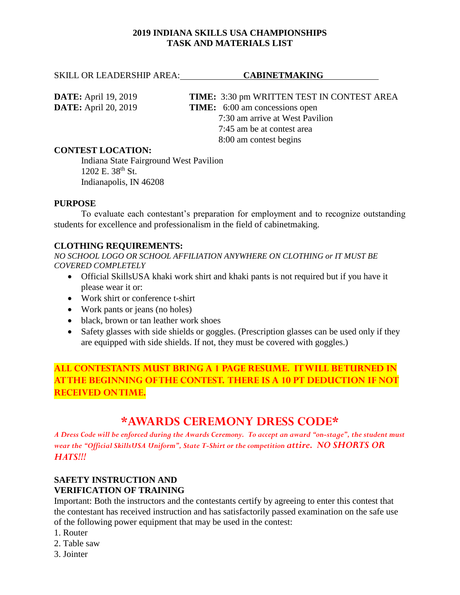# **2019 INDIANA SKILLS USA CHAMPIONSHIPS TASK AND MATERIALS LIST**

SKILL OR LEADERSHIP AREA: CABINETMAKING

**DATE:** April 19, 2019 **TIME:** 3:30 pm WRITTEN TEST IN CONTEST AREA **DATE:** April 20, 2019 **TIME:** 6:00 am concessions open 7:30 am arrive at West Pavilion 7:45 am be at contest area 8:00 am contest begins

# **CONTEST LOCATION:**

Indiana State Fairground West Pavilion  $1202$  E.  $38^{th}$  St. Indianapolis, IN 46208

### **PURPOSE**

To evaluate each contestant's preparation for employment and to recognize outstanding students for excellence and professionalism in the field of cabinetmaking.

# **CLOTHING REQUIREMENTS:**

*NO SCHOOL LOGO OR SCHOOL AFFILIATION ANYWHERE ON CLOTHING or IT MUST BE COVERED COMPLETELY*

- Official SkillsUSA khaki work shirt and khaki pants is not required but if you have it please wear it or:
- Work shirt or conference t-shirt
- Work pants or jeans (no holes)
- black, brown or tan leather work shoes
- Safety glasses with side shields or goggles. (Prescription glasses can be used only if they are equipped with side shields. If not, they must be covered with goggles.)

**ALL CONTESTANTS MUST BRING A 1 PAGE RESUME. IT WILL BE TURNED IN AT THE BEGINNING OF THE CONTEST. THERE IS A 10 PT DEDUCTION IF NOT RECEIVED ON TIME.**

# **\*AWARDS CEREMONY DRESS CODE\***

*A Dress Code will be enforced during the Awards Ceremony. To accept an award "on-stage", the student must wear the "Official SkillsUSA Uniform", State T-Shirt or the competition attire. NO SHORTS OR HATS!!!*

# **SAFETY INSTRUCTION AND VERIFICATION OF TRAINING**

Important: Both the instructors and the contestants certify by agreeing to enter this contest that the contestant has received instruction and has satisfactorily passed examination on the safe use of the following power equipment that may be used in the contest:

- 1. Router
- 2. Table saw
- 3. Jointer